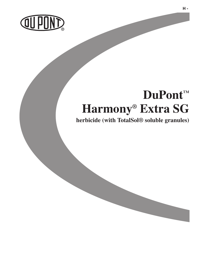

# **DuPont™ Harmony® Extra SG**

## **herbicide (with TotalSol® soluble granules)**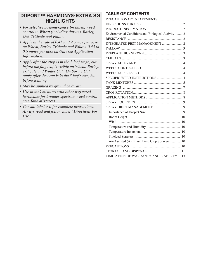## **DUPONT™ HARMONY® EXTRA SG HIGHLIGHTS**

- *For selective postemergence broadleaf weed control in Wheat (including durum), Barley, Oat, Triticale and Fallow*
- *Apply at the rate of 0.45 to 0.9 ounce per acre on Wheat, Barley, Triticale and Fallow, 0.45 to 0.6 ounce per acre on Oat (see Application Information).*
- *Apply after the crop is in the 2-leaf stage, but before the flag leaf is visible on Wheat, Barley, Triticale and Winter Oat. On Spring Oat, apply after the crop is in the 3 leaf stage, but before jointing.*
- *May be applied by ground or by air.*
- *Use in tank mixtures with other registered herbicides for broader spectrum weed control (see Tank Mixtures).*
- *Consult label text for complete instructions. Always read and follow label "Directions For Use".*

## **TABLE OF CONTENTS**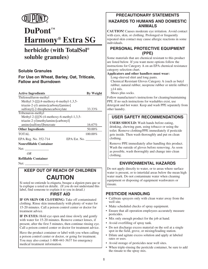

## **DuPont™ Harmony® Extra SG**

**herbicide (with TotalSol® soluble granules)**

## **Soluble Granules**

## **For Use on Wheat, Barley, Oat, Triticale, Fallow and Burndown**

| <b>Active Ingredients</b>                                         | <b>By Weight</b> |
|-------------------------------------------------------------------|------------------|
| Thifensulfuron-methyl                                             |                  |
| Methyl 3- $[[[(4-methoxy-6-methyl-1,3,5-$                         |                  |
| triazin-2-yl) amino]carbonyl]amino]                               |                  |
| sulfonyl]-2-thiophenecarboxylate                                  | 33.33%           |
| Tribenuron-methyl                                                 |                  |
| Methyl 2- $\frac{[ N-(4-methoxy-6-methyl-1,3,5-methyl-1,3]}{[N]}$ |                  |
| triazin-2-yl)methylamino]carbonyl]                                |                  |
| amino]sulfonyl]benzoate                                           | 16.67%           |
| <b>Other Ingredients</b>                                          | 50.00%           |
| <b>TOTAL</b>                                                      | 100.00%          |
| EPA Reg. No. 352-714                                              | EPA Est. No.     |
| <b>Nonrefillable Container</b>                                    |                  |
| Net:                                                              |                  |

*OR*

**Refillable Container**

Net:

## **KEEP OUT OF REACH OF CHILDREN CAUTION**

Si usted no entiende la etiqueta, busque a alguien para que se la explique a usted en detalle. (If you do not understand this label, find someone to explain it to you in detail.)

## **FIRST AID**

**IF ON SKIN OR CLOTHING:** Take off contaminated clothing. Rinse skin immediately with plenty of water for 15-20 minutes. Call a poison control center or doctor for treatment advice.

**IF IN EYES:** Hold eye open and rinse slowly and gently with water for 15-20 minutes. Remove contact lenses, if present, after the first 5 minutes, then continue rinsing eye. Call a poison control center or doctor for treatment advice.

Have the product container or label with you when calling a poison control center or doctor, or going for treatment. You may also contact 1-800-441-3637 for emergency medical treatment information.

## **PRECAUTIONARY STATEMENTS HAZARDS TO HUMANS AND DOMESTIC ANIMALS**

**CAUTION!** Causes moderate eye irritation. Avoid contact with eyes, skin, or clothing. Prolonged or frequently repeated skin contact may cause allergic reactions in some individuals.

## **PERSONAL PROTECTIVE EQUIPMENT (PPE)**

Some materials that are chemical resistant to this product are listed below. If you want more options follow the instructions for Category A on an EPA chemical resistance category selection chart.

#### **Applicators and other handlers must wear:**

Long-sleeved shirt and long pants.

Chemical Resistant Gloves Category A (such as butyl rubber, natural rubber, neoprene rubber or nitrile rubber)  $>14$  mls.

Shoes plus socks.

Follow manufacturer's instructions for cleaning/maintaining PPE. If no such instructions for washables exist, use detergent and hot water. Keep and wash PPE separately from other laundry.

## **USER SAFETY RECOMMENDATIONS**

**USERS SHOULD:** Wash hands before eating, drinking, chewing gum, using tobacco or using the toilet. Remove clothing/PPE immediately if pesticide gets inside. Then wash thoroughly and put on clean clothing.

Remove PPE immediately after handling this product. Wash the outside of gloves before removing. As soon as possible, wash thoroughly and change into clean clothing.

## **ENVIRONMENTAL HAZARDS**

Do not apply directly to water, or to areas where surface water is present, or to intertidal areas below the mean high water mark. Do not contaminate water when cleaning equipment or disposing of equipment washwaters or rinsate.

## **PESTICIDE HANDLING**

- Calibrate sprayers only with clean water away from the well site.
- Make scheduled checks of spray equipment.
- Ensure that all operation employees accurately measure pesticides.
- Mix only enough product for the job at hand.
- Avoid overfilling of spray tank.
- Do not discharge excess material on the soil at a single spot in the field, grove, or mixing/loading station.
- Dilute and agitate excess solution and apply at labeled rates or uses.
- Avoid storage of pesticides near well sites.
- When triple-rinsing the pesticide container, be sure to add the rinsate to the spray mix.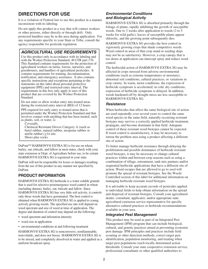## **DIRECTIONS FOR USE**

It is a violation of Federal law to use this product in a manner inconsistent with its labeling.

Do not apply this product in a way that will contact workers or other persons, either directly or through drift. Only protected handlers may be in the area during application. For any requirements specific to your State or Tribe, consult the agency responsible for pesticide regulation.

## **AGRICULTURAL USE REQUIREMENTS**

Use this product only in accordance with its labeling and with the Worker Protection Standard, 40 CFR part 170. This Standard contains requirements for the protection of agricultural workers on farms, forests, nurseries, and greenhouses, and handlers of agricultural pesticides. It contains requirements for training, decontamination, notification, and emergency assistance. It also contains specific instructions and exceptions pertaining to the statements on this label about personal protective equipment (PPE) and restricted-entry interval. The requirements in this box only apply to uses of this product that are covered by the Worker Protection Standard.

Do not enter or allow worker entry into treated areas during the restricted entry interval (REI) of 12 hours.

PPE required for early entry to treated areas that is permitted under the Worker Protection Standard and that involves contact with anything that has been treated, such as plants, soil, or water, is:

Coveralls.

Chemical Resistant Gloves Category A (such as butyl rubber, natural rubber, neoprene rubber or nitrile rubber)  $\geq$ 14 mls. Shoes plus socks.

DuPont™ HARMONY® EXTRA SG is for use on wheat, barley, oat, triticale, and fallow in most states, check with your state extension or Dept. of Agriculture before use, to be certain HARMONY® EXTRA SG is registered in your state.

DuPont will not be responsible for losses or damages resulting from the use of this product in any manner not specified by DuPont.

## **PRODUCT INFORMATION**

HARMONY® EXTRA SG herbicide is a water soluble granule that is used for selective postemergence weed control in wheat (including durum), barley, oat, triticale and fallow. Since HARMONY® EXTRA SG has very little soil activity, it controls only those weeds that have germinated. The best control is obtained when HARMONY® EXTRA SG is applied to young, actively growing weeds. The specified use rate will depend on weed spectrum and size of weed at time of application. The degree and duration of control may depend on the following:

- weed spectrum and infestation intensity
- weed size at application
- environmental conditions at and following treatment

HARMONY® EXTRA SG is noncorrosive, nonflammable, nonvolatile, and does not freeze. HARMONY® EXTRA SG is to be mixed, and completely dissolved in water and applied as a uniform broadcast spray.

#### **Environmental Conditions and Biological Activity**

HARMONY® EXTRA SG is absorbed primarily through the foliage of plants, rapidly inhibiting the growth of susceptible weeds. One to 3 weeks after application to weeds (2 to 5 weeks for wild garlic), leaves of susceptible plants appear chlorotic, and the growing point subsequently dies.

HARMONY® EXTRA SG provides the best control in vigorously growing crops that shade competitive weeds. Weed control in areas of thin crop stand or seeding skips may not be as satisfactory. However, a crop canopy that is too dense at application can intercept spray and reduce weed control.

The herbicidal action of HARMONY® EXTRA SG may be affected in crops stressed from adverse environmental conditions (such as extreme temperatures or moisture), abnormal soil conditions, cultural practices, or variations in crop variety. In warm, moist conditions, the expression of herbicide symptoms is accelerated; in cold, dry conditions, expression of herbicide symptoms is delayed. In addition, weeds hardened-off by drought stress are less susceptible to HARMONY® EXTRA SG.

#### **Resistance**

When herbicides that affect the same biological site of action are used repeatedly over several years to control the same weed species in the same field, naturally-occurring resistant biotypes may survive a correctly applied herbicide treatment, propagate, and become dominant in that field. Adequate control of these resistant weed biotypes cannot be expected. If weed control is unsatisfactory, it may be necessary to retreat the problem area using a product affecting a different site of action.

To better manage herbicide resistance through delaying the proliferation and possible dominance of herbicide resistant weed biotypes, it may be necessary to change cultural practices within and between crop seasons such as using a combination of tillage, retreatment, tank-mix partners and/or sequential herbicide applications that have a different site of action. Weed escapes that are allowed to go to seed will promote the spread of resistant biotypes. See the Weeds Controlled section of this label for additional information on managing herbicide resistant weed biotypes.

It is advisable to keep accurate records of pesticides applied to individual fields to help obtain information on the spread and dispersal of resistant biotypes. Consult your agricultural dealer, consultant, applicator, and/or appropriate state agricultural extension service representative for specific alternative cultural practices or herbicide recommendations available in your area.

#### **Integrated Pest Management**

This product may be used as part of an Integrated Pest Management (IPM) program that can include biological, cultural, and genetic practices aimed at preventing economic pest damage. IPM principles and practices include field scouting or other detection methods, correct target pest identification, population monitoring, and treating when target pest populations reach locally determined action thresholds. Consult your state cooperative extension service, professional consultants or other qualified authorities to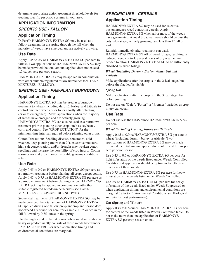determine appropriate action treatment threshold levels for treating specific pest/crop systems in your area.

## **APPLICATION INFORMATION SPECIFIC USE - FALLOW**

## **Application Timing**

DuPont™ HARMONY® EXTRA SG may be used as a fallow treatment, in the spring through the fall when the majority of weeds have emerged and are actively growing.

## **Use Rate**

Apply 0.45 to 0.9 oz HARMONY® EXTRA SG per acre to fallow. Two applications of HARMONY® EXTRA SG may be made provided the total amount applied does not exceed 1.5 oz per acre per crop season.

HARMONY® EXTRA SG may be applied in combination with other suitable registered fallow herbicides (see TANK MIXTURES - FALLOW).

## **SPECIFIC USE - PRE-PLANT BURNDOWN**

## **Application Timing**

HARMONY® EXTRA SG may be used as a burndown treatment to wheat (including durum), barley, and triticale to control emerged weeds prior to, or shortly after planting (prior to emergence). Make applications when the majority of weeds have emerged and are actively growing. HARMONY® EXTRA SG can also be used as a burndown treatment prior to planting other crops such as soybeans, corn, and cotton. See "CROP ROTATION" for the minimum time interval required before planting other crops.

Cotton Precaution: Seedling disease, nematodes, cold weather, deep planting (more than 2"), excessive moisture, high salt concentration, and/or drought may weaken cotton seedlings and increase the possibility of crop injury. Cotton resumes normal growth once favorable growing conditions return.

## **Use Rate**

Apply 0.45 to 0.9 oz HARMONY® EXTRA SG per acre as a burndown treatment before planting all crops except cotton. Apply 0.45 to 0.75 oz HARMONY® EXTRA SG per acre as a burndown treatment before planting cotton. HARMONY® EXTRA SG may be applied in combination with other suitable registered burndown herbicides (see TANK MIXTURES - PRE-PLANT BURNDOWN).

Sequential treatments of HARMONY® EXTRA SG may be made provided the total amount of HARMONY® EXTRA SG applied during one fallow/pre-plant cropland season does not exceed 1.5 ounce per acre; for example, 0.75 ounce in the fall followed by 0.75 ounce in the spring.

Use the higher end of the rate range when weed infestation is heavy or predominantly consists of those weeds listed under PARTIAL CONTROL or when application timing and environmental conditions are marginal.

## **SPECIFIC USE - CEREALS**

## **Application Timing**

HARMONY® EXTRA SG may be used for selective postemergence weed control in cereals. Apply HARMONY® EXTRA SG when all or most of the weeds have germinated. Annual broadleaf weeds should be past the cotyledon stage, actively growing, and less than 4" tall or wide.

Rainfall immediately after treatment can wash HARMONY® EXTRA SG off of weed foliage, resulting in reduced weed control. Several hours of dry weather are needed to allow HARMONY® EXTRA SG to be sufficiently absorbed by weed foliage.

#### *Wheat (Including Durum), Barley, Winter Oat and Triticale*

Make applications after the crop is in the 2-leaf stage, but before the flag leaf is visible.

#### *Spring Oat*

Make applications after the crop is in the 3 leaf stage, but before jointing.

Do not use on "Ogle", "Porter" or "Premier" varieties as crop injury can occur.

## **Use Rate**

Do not use less than 0.45 ounce HARMONY® EXTRA SG per acre.

#### *Wheat (including Durum), Barley and Triticale*

Apply 0.45 to 0.9 oz HARMONY® EXTRA SG per acre to wheat (including durum), barley or triticale. Two applications of HARMONY® EXTRA SG may be made provided the total amount applied does not exceed 1.5 oz per acre per crop season.

Use 0.45 to 0.6 oz HARMONY® EXTRA SG per acre for light infestation of the weeds listed under Weeds Controlled. Conditions at application should be optimum for effective treatment of these weeds.

Use 0.75 oz HARMONY® EXTRA SG per acre for heavy infestation of the weeds listed under Weeds Controlled.

Use 0.9 oz HARMONY® EXTRA SG per acre for heavy infestation of the weeds listed under Weeds Suppressed or when application timing and environmental conditions are marginal (refer to Environmental Conditions and Biological Activity for best performance).

#### **Oat (Spring and Winter)**

Apply 0.45 to 0.6 ounce HARMONY® EXTRA SG per acre for control of the weeds listed in Weeds Controlled table. Do not make more than one application of HARMONY® EXTRA SG per crop season on oat.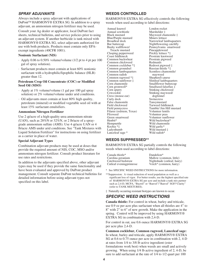#### **SPRAY ADJUVANTS**

Always include a spray adjuvant with applications of DuPont™ HARMONY® EXTRA SG. In addition to a spray adjuvant, an ammonium nitrogen fertilizer may be used.

Consult your Ag dealer or applicator, local DuPont fact sheets, technical bulletins, and service policies prior to using an adjuvant system. If another herbicide is tank mixed with HARMONY® EXTRA SG, select adjuvants authorized for use with both products. Products must contain only EPAexempt ingredients (40CFR 1001).

#### **Nonionic Surfactant (NIS)**

- · Apply 0.06 to 0.50% volume/volume (1/2 pt to 4 pt per 100 gal of spray solution).
- · Surfactant products must contain at least 60% nonionic surfactant with a hydrophilic/lipophilic balance (HLB) greater than 12.

#### **Petroleum Crop Oil Concentrate (COC) or Modified Seed Oil (MSO)**

- · Apply at 1% volume/volume (1 gal per 100 gal spray solution) or 2% volume/volume under arid conditions.
- · Oil adjuvants must contain at least 80% high quality, petroleum (mineral) or modified vegetable seed oil with at least 15% surfactant emulsifiers.

#### **Ammonium Nitrogen Fertilizer**

Use 2 qt/acre of a high-quality urea ammonium nitrate (UAN), such as 28%N or 32%N, or 2 lb/acre of a spraygrade ammonium sulfate (AMS). Use 4 qt/acre UAN or 4 lb/acre AMS under arid conditions. See "Tank Mixtures with Liquid Solution Fertilizer" for instructions on using fertilizer as a carrier in place of water.

#### **Special Adjuvant Types**

Combination adjuvant products may be used at doses that provide the required amount of NIS, COC, MSO and/or ammonium nitrogen fertilizer. Consult product literature for use rates and restrictions.

In addition to the adjuvants specified above, other adjuvant types may be used if they provide the same functionality and have been evaluated and approved by DuPont product management. Consult separate DuPont technical bulletins for detailed information before using adjuvant types not specified on this label.

#### **WEEDS CONTROLLED**

HARMONY® EXTRA SG effectively controls the following weeds when used according to label directions:

Annual knawel Annual sowthistle Black mustard Blue/Purple mustard Broadleaf dock Bur buttercup Bushy wallflower/ Treacle mustard Clasping pepperweed Coast fiddleneck Common buckwheat Common chickweed Common cocklebur \*‡ Common groundsel Common lambsquarters Common radish Common ragweed \*‡ Common sunflower ‡ Corn chamomile Corn gromwell\* Corn spurry **Cowcockle** Cress (mouse-ear) Curly dock False chamomile Field chickweed Field pennycress Filaree (redstem, Texas) Flixweed Green smartweed Henbit\* Hempnettle Kochia \*‡ Ladysthumb Lanceleaf sage \*

London rocket Marshelder ‡ Mayweed chamomile ‡ Miners lettuce Narrowleaf lambsquarters Nightflowering catchfly Pennsylvania smartweed Pineappleweed Prickly lettuce \*‡ Prostrate knotweed Prostrate pigweed Redmaids Redroot pigweed ‡ Russian thistle \*‡ Scentless chamomile/ mayweed Shepherd's-purse Slimleaf lambsquarters Smallflower buttercup Smallseed falseflax ‡ Stinking chickweed Stinking mayweed/ dogfennel Swinecress Tansymustard Tarweed fiddleneck Tumble/ Jim Hill mustard Volunteer lentils Volunteer peas Volunteer sunflower Wild buckwheat\* Wild chamomile Wild garlic\* Wild mustard ‡ Wild radish\*

#### **WEEDS SUPPRESSED\*\***

HARMONY® EXTRA SG partially controls the following weeds when used according to label directions:

| Canada thistle*         | Dandelion*                         |
|-------------------------|------------------------------------|
| Carolina geranium       | Mallow (common. little)            |
| Catchweed bedstraw      | Nightshade (cutleaf, hairy)        |
| Cutleaf eveningprimrose | Vetch <sup>*</sup> (common, hairy) |

- \* See SPECIFIC WEED INSTRUCTIONS for more information.
- \*\*Suppression: A visual reduction of weed population as well as a significant loss of vigor. For better results, use the highest specified rate of HARMONY® EXTRA SG per acre and include a tank mix partner such as 2,4-D, MCPA, "Buctril" or "Banvel"/"Banvel" SGF/"Clarity" (refer to TANK MIXTURES).

‡ Naturally occurring resistant biotypes are known to occur.

#### **SPECIFIC WEED INSTRUCTIONS**

**Canada thistle:** For control in wheat, barley and triticale, use 0.9 oz per acre plus surfactant when all thistles are 4" to 8" with 2" to 6" of new growth. Make the application in the spring. Control will be improved by using HARMONY® EXTRA SG in combination with 2,4-D.

For control in oat, use 0.6 ounce HARMONY® EXTRA SG per acre plus 2,4-D.

**Common cocklebur, Common ragweed, Lanceleaf sage:** In wheat, barley and triticale, apply HARMONY® EXTRA SG at 0.6 to 0.75 ounce per acre in combination with 2, 4-D at rates from 1/4 to 3/8 lb active ingredient (ester formulations work best) when weeds are small and actively growing. When using 1/4 lb active ingredient of 2, 4-D, be sure to add surfactant at the rate of 1/4 to 1/2 quart per 100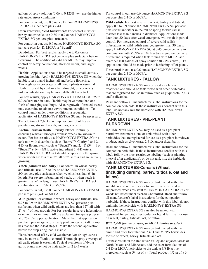gallons of spray solution (0.06 to  $0.125\%$  v/v--use the higher rate under stress conditions).

For control in oat, use 0.6 ounce DuPont™ HARMONY® EXTRA SG per acre plus 2,4-D.

**Corn gromwell, Wild buckwheat:** For control in wheat, barley and triticale, use 0.75 to 0.9 ounce HARMONY<sup>®</sup> EXTRA SG per acre plus surfactant.

For control in oat, use 0.6 ounce HARMONY® EXTRA SG per acre plus 2,4-D, MCPA or "Buctril".

**Dandelion**: For best results, apply 0.6 to 0.9 ounce HARMONY® EXTRA SG per acre plus surfactant before flowering. The addition of 2,4-D or MCPA may improve control of heavy populations, stressed weeds, and larger weeds.

**Henbit**: Applications should be targeted to small, actively growing henbit. Apply HARMONY® EXTRA SG when the henbit is less than 6 inches tall and before flowering. Thorough spray coverage of all henbit plants is essential. Henbit stressed by cold weather, drought, or a powdery mildew infestation may be more difficult to control.

For best results, apply HARMONY® EXTRA SG at 0.75 to 0.9 oz/acre (0.6 in oat). Henbit may have more than one flush of emerging seedlings. Also, regrowth of treated weeds may occur due to adverse environmental conditions. To control henbit under these conditions, a sequential application of HARMONY® EXTRA SG may be necessary.

The addition of 2,4-D may improve control of heavy populations, stressed weeds, and larger weeds.

**Kochia, Russian thistle, Prickly lettuce:** Naturally occurring resistant biotypes of these weeds are known to occur. For best results, use HARMONY® EXTRA SG in a tank mix with dicamba (such as "Banvel"/"Clarity") and 2, 4-D; or Bromoxynil (such as "Buctril") and 2,4-D (3/4 - 1 pt "Buctril" +  $1/4$  -  $3/8$  lb active ingredient 2, 4-D ester). HARMONY® EXTRA SG should be applied in the spring when weeds are less than 2" tall or 2" across and are actively growing.

**Vetch (common and hairy):** For control in wheat, barley and triticale, use 0.75 to 0.9 oz of HARMONY® EXTRA SG per acre plus surfactant when vetch is less than 6" in length. For severe infestations of vetch, or when vetch is greater than 6" in length, use HARMONY® EXTRA SG in combination with 2,4-D or MCPA.

For control in oat, use 0.6 ounce HARMONY® EXTRA SG per acre plus 2,4-D or MCPA.

**Wild garlic:** For control in wheat, barley and triticale, use 0.75 to 0.9 oz HARMONY® EXTRA SG per acre plus surfactant when wild garlic plants are less than 12" tall with 2" to 4" of new growth. For best results in severe infestations or in no till or minimum till use a planned two-pass program at 0.75 oz/acre per application. Make the first application preplant, preemergence, or early post emergence (after crop has reached the 2-leaf stage). Make the second application before the crop's flag leaf is visible.

Plants hardened-off by cold weather and/or drought stress may be more difficult to control. Thorough spray coverage of all garlic plants is essential. Typical symptoms of dying garlic plants may not be noticeable for 2 to 5 weeks.

For control in oat, use 0.6 ounce HARMONY® EXTRA SG per acre plus 2,4-D or MCPA.

**Wild radish:** For best results in wheat, barley and triticale, apply 0.6 to 0.9 ounce HARMONY® EXTRA SG per acre plus surfactant either in the fall or spring to wild radish rosettes less than 6 inches in diameter. Applications made later than 30 days after weed emergence will result in partial control. For increased control of severe wild radish infestations, or wild radish emerged greater than 30 days, apply HARMONY® EXTRA SG at 0.45 ounce per acre in combination with MCPA at 1/4 lb active ingredient per acre. Surfactant is required when tank mixing with MCPA, add 1 quart per 100 gallons of spray solution (0.25% vol/vol). Fall applications should be made prior to hardening off of plants.

For control in oat, use 0.6 ounce HARMONY® EXTRA SG per acre plus 2,4-D or MCPA.

#### **TANK MIXTURES - FALLOW**

HARMONY® EXTRA SG may be used as a fallow treatment, and should be tank mixed with other herbicides that are registered for use in fallow such as glyphosate, 2,4-D and/or dicamba.

Read and follow all manufacturer's label instructions for the companion herbicide. If those instructions conflict with this label, do not tank mix the herbicide with HARMONY® EXTRA SG.

## **TANK MIXTURES - PRE-PLANT BURNDOWN**

HARMONY® EXTRA SG may be used as a pre-plant burndown treatment alone or tank mixed with other herbicides that are registered for use as a pre-plant burndown product, such as glyphosate, 2,4-D, and/or dicamba.

Read and follow all manufacturer's label instructions for the companion herbicide. If those instructions conflict with this label, follow the most restrictive labeling (such as planting interval after application), or do not tank mix the herbicide with HARMONY® EXTRA SG.

## **TANK MIXTURES-Cereals (Wheat (including durum), barley, triticale, oat and fallow)**

HARMONY® EXTRA SG may be tank mixed with other suitable registered herbicides to control weeds listed as suppressed, weeds resistant to HARMONY® EXTRA SG or weeds not listed under **Weeds Controlled**. Read and follow all manufacturer's label instructions for the companion herbicide. If those instructions conflict with this label, do not tank mix the herbicide with HARMONY® EXTRA SG.

HARMONY® EXTRA SG can also be mixed with registered fungicides, insecticides, or liquid fertilizer for use on wheat, barley, triticale, oat, or fallow.

#### *With 2,4-D (amine or ester) or MCPA (amine or ester)*

HARMONY® EXTRA SG may be tank mixed with the amine and ester formulations 2,4-D and MCPA herbicides for use on wheat, barley, triticale and oat.

For best results in the Red River Valley and adjacent areas of North Dakota and Minnesota, add the ester formulations of 2,4-D or MCPA herbicides to the tank at 3/8 lb active ingredient (such as 3/4 pt of a 4 lb/gal product, 1/2 pt of a 6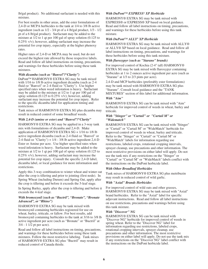lb/gal product). No additional surfactant is needed with this mixture.

For best results in other areas, add the ester formulations of 2,4-D or MCPA herbicides to the tank at 1/4 to 3/8 lb active ingredient (such as 1/2 - 3/4 pt of a 4 lb/gal product, 1/3 - 1/2 pt of a 6 lb/gal product). Surfactant may be added to the mixture at 1/2 to 1 qt per 100 gal of spray solution (0.125 to 0.25% v/v); however, adding surfactant may increase the potential for crop injury, especially at the higher phenoxy rates.

Higher rates of 2,4-D or MCPA may be used, but do not exceed the highest rate allowed by those respective labels. Read and follow all label instructions on timing, precautions, and warnings for these herbicides before using these tank mixtures.

#### *With dicamba (such as "Banvel"/"Clarity")*

DuPont™ HARMONY® EXTRA SG may be tank mixed with 1/16 to 1/8 lb active ingredient dicamba (such as 2-4 fluid oz "Banvel" or 2-4 fluid oz "Clarity"). Use higher specified rates when weed infestation is heavy. Surfactant may be added to the mixture at 1/2 to 1 qt per 100 gal of spray solution (0.125 to 0.25%  $v/v$ ); however, adding surfactant may increase the potential for crop injury. Refer to the specific dicamba label for application timing and restrictions.

Tank mixes of HARMONY® EXTRA SG plus dicamba may result in reduced control of some broadleaf weeds.

#### *With 2,4-D (amine or ester) and "Banvel"/"Clarity"*

HARMONY® EXTRA SG may be applied in a 3-way tank mix with formulations of dicamba and 2,4-D. Make application of HARMONY® EXTRA SG + 1/16 to 1/8 lb active ingredient dicamba (such as 2-4 fluid oz "Banvel" or 2-4 fluid oz "Clarity") +  $1/4$  -  $3/8$  lb active ingredient 2,4-D Ester or Amine per acre. Use higher specified rates when weed infestation is heavy. Surfactant may be added to the mixture at 1/2 to 1 qt per 100 gal of spray solution (0.125 to 0.25% v/v); however, adding surfactant may increase the potential for crop injury. Consult the specific 2,4-D label, dicamba label, or local guidance for more information and restrictions.

Apply this 3-way combination to winter wheat and winter oat after the crop is tillering and prior to jointing (first node). In Spring Wheat (including Durum) and Spring Oat, apply after the crop is tillering and before it exceeds the 5-leaf stage.

In Spring Barley, apply after the crop is tillering and before it exceeds the 4-leaf stage.

#### *With bromoxynil (such as "Buctril", "Bronate", "Bronate Advanced", or "Rhino")*

HARMONY® EXTRA SG may be tank mixed with bromoxynil containing herbicides registered for use on wheat, barley, triticale, or fallow. For best results, add bromoxynil containing herbicides to the tank at 3/16 to 3/8 lb active ingredient per acre (such as "Bronate" or "Buctril" at 3/4 - 1 1/2 pt per acre).

Read and follow all label instructions on timing, precautions, and warnings for these herbicides before using these tank mixtures. Follow the most restrictive labeling. Tank mixes of HARMONY® EXTRA SG plus "Buctril" may result in reduced control of Canada thistle.

#### *With DuPont™ EXPRESS® XP Herbicide*

HARMONY® EXTRA SG may be tank mixed with EXPRESS® or EXPRESS® XP based on local guidance. Read and follow all label instructions on timing, precautions, and warnings for these herbicides before using this tank mixture.

#### *With DuPont™ ALLY® XP Herbicide*

HARMONY® EXTRA SG may be tank mixed with ALLY® or ALLY® XP based on local guidance. Read and follow all label instructions on timing, precautions, and warnings for these herbicides before using this tank mixture.

#### *With fluroxypyr (such as "Starane" brands)*

For improved control of Kochia (2-4" tall) HARMONY® EXTRA SG may be tank mixed with fluroxypyr containing herbicides at 1 to 2 ounces active ingredient per acre (such as "Starane" at 1/3 to 2/3 pints per acre).

2,4-D and MCP herbicides (preferably ester formulations) may be tank mixed with HARMONY® EXTRA SG plus "Starane". Consult local guidance and the "TANK MIXTURES" section of this label for additional information.

#### *With "Aim"*

HARMONY® EXTRA SG can be tank mixed with "Aim" herbicide for improved control of weeds in wheat, barley and triticale.

#### *With "Stinger" or "Curtail" or "Curtail M" or "Widematch"*

HARMONY® EXTRA SG can be tank mixed with "Stinger" or "Curtail" or "Curtail M" or "WideMatch" herbicide for improved control of weeds in wheat, barley and triticale. Refer to the "Stinger" or "Curtail" or "Curtail M" or "WideMatch" labels for information regarding use restrictions, labeled crops, rotational cropping intervals, sprayer cleanup, use precautions and other information. The most restrictive provisions on either label will apply. Do not use the tank mix if any restrictions on the "Stinger" or "Curtail" or "Curtail M" or "WideMatch" labels conflict with the instructions on the DuPont herbicide label.

#### *With Other Broadleaf Herbicides*

Tank mixes of HARMONY® EXTRA SG plus metribuzin may result in reduced control of wild garlic.

#### *With "Axial" Brands Herbicides*

For improved control of wild oats and other grasses, HARMONY® EXTRA SG may be tank mixed with "Axial" brand herbicides. Refer to the "Axial" label for specific adjuvant instructions. Read and follow all label instructions on use restrictions, precautions and warnings before using this tank mixture.

#### *With "Discover" NG*

HARMONY® EXTRA SG can be tank mixed with "Discover NG" herbicide for improved control of weeds in spring wheat. Refer to the "Discover NG" label for information regarding use restrictions, labeled crops, rotational cropping intervals, sprayer cleanup, use precautions and other information. The most restrictive provisions on either label will apply. Do not use the tank mix if any restrictions on the "Discover NG" label conflict with the instructions on the DuPont herbicide label.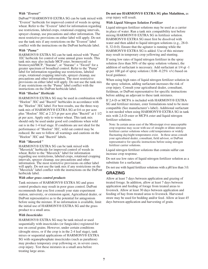#### *With "Everest"*

DuPont™ HARMONY® EXTRA SG can be tank mixed with "Everest" herbicide for improved control of weeds in spring wheat. Refer to the "Everest" label for information regarding use restrictions, labeled crops, rotational cropping intervals, sprayer cleanup, use precautions and other information. The most restrictive provisions on either label will apply. Do not use the tank mix if any restrictions on the "Everest" label conflict with the instructions on the DuPont herbicide label.

#### *With "Puma"*

HARMONY® EXTRA SG can be tank mixed with "Puma" 1EC herbicide for control of some annual grass weeds. This tank mix may also include MCP ester, bromoxynil or bromoxynil/MCP, "Starane", or "Starane" + "Sword" for a greater spectrum of broadleaf control. Refer to the "Puma" label for information regarding use restrictions, labeled crops, rotational cropping intervals, sprayer cleanup, use precautions and other information. The most restrictive provisions on either label will apply. Do not use the tank mix if any restrictions on the "Puma" label conflict with the instructions on the DuPont herbicide label.

#### *With "Hoelon" Herbicide*

HARMONY® EXTRA SG may be used in combination with "Hoelon" 3EC and "Buctril" herbicides in accordance with the "Hoelon" 3EC label. For best results, use the three-way tank mix of HARMONY® EXTRA SG at 0.6 oz per acre plus "Hoelon" 3EC at 2 2/3 pt per acre plus "Buctril" at 1 1/2 pt per acre. Apply only to winter wheat. This tank mix should only be used under good soil conditions when wild oat is in the 1-4 leaf stage. If conditions are not ideal for the performance of "Hoelon" 3EC, wild oat control may be reduced. Be sure to follow all warnings and cautions on the "Hoelon" 3EC and "Buctril" labels.

#### *With "Maverick"*

HARMONY® EXTRA SG can be tank mixed with "Maverick" herbicide for improved control of weeds in wheat. Refer to the "Maverick" label for information regarding use restrictions, labeled crops, rotational cropping intervals, sprayer cleanup, use precautions and other information. The most restrictive provisions on either label will apply. Do not use the tank mix if any restrictions on the "Maverick" label conflict with the instructions on the DuPont herbicide label.

#### *With other grass control products*

Tank mixtures of HARMONY® EXTRA SG and grass control products may result in poor grass control. DuPont recommends that you first consult your state experiment station, university, or extension agent, Agricultural dealer, or DuPont representative as to the potential for antagonism before using the mixture. If no information is available, limit the initial use of HARMONY® EXTRA SG and the grass product to a small area.

#### *With Insecticides*

HARMONY® EXTRA SG may be tank mixed or used sequentially with insecticides (or fungicides) registered for use on cereal grains. However, under certain conditions (drought stress, or if the crop is in the 2-4 leaf stage), tank mixes or sequential applications of HARMONY® EXTRA SG with organophosphate insecticides (such as parathion) may produce temporary crop yellowing or, in severe cases, crop injury. Test these mixtures in a small area before treating large areas.

#### **Do not use HARMONY® EXTRA SG plus Malathion,** as

crop injury will result.

#### *With Liquid Nitrogen Solution Fertilizer*

Liquid nitrogen fertilizer solutions may be used as a carrier in place of water. Run a tank mix compatibility test before mixing HARMONY® EXTRA SG in fertilizer solution. HARMONY® EXTRA SG must first be dissolved with water and then added to liquid nitrogen solutions (e.g., 28-0- 0, 32-0-0). Ensure that the agitator is running while the HARMONY® EXTRA SG is added. Use of this mixture may result in temporary crop yellowing and stunting.

If using low rates of liquid nitrogen fertilizer in the spray solution (less than 50% of the spray solution volume), the addition of surfactant is necessary. Add surfactant at 1/4 qt -1 qt per 100 gal of spray solution ( 0.06 -0.25% v/v) based on local guidance.

When using high rates of liquid nitrogen fertilizer solution in the spray solution, adding surfactant increases the risk of crop injury. Consult your agricultural dealer, consultant, fieldman, or DuPont representative for specific instructions before adding an adjuvant to these tank mixtures.

If 2,4-D or MCPA is included with HARMONY® EXTRA SG and fertilizer mixture, ester formulations tend to be more compatible (See manufacturer's label). Additional surfactant is not needed when using HARMONY® EXTRA SG in tank mix with 2,4-D ester or MCPA ester and liquid nitrogen fertilizer solutions.

Note: In certain areas east of the Mississippi river unacceptable crop response may occur with use of straight or dilute nitrogen fertilizer carrier solutions where cold temperatures or widely fluctuating day/night temperatures exist. In these areas consult your agricultural dealer, consultant, field advisor, or DuPont representative for specific instructions before using nitrogen fertilizer carrier solutions.

Liquid nitrogen fertilizer solutions that contain sulfur can increase crop response.

Do not use low rates of liquid nitrogen fertilizer solution as a substitute for a surfactant.

Do not use with liquid fertilizer solutions with a pH less than 3.0.

#### **GRAZING**

Allow at least 7 days between application and grazing of treated forage. In addition, allow at least 7 days between application and feeding of forage from treated areas to livestock. Allow at least 30 days between application and feeding of hay from treated areas to livestock. Harvested straw may be used for bedding and/or feed. Allow at least 45 days between application and harvesting of grain.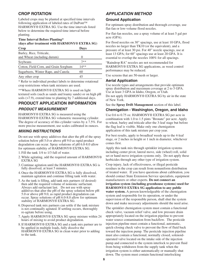## **CROP ROTATION**

Labeled crops may be planted at specified time intervals following application of labeled rates of DuPont™ HARMONY® EXTRA SG. Use the time intervals listed below to determine the required time interval before planting.

## **Time Interval Before Planting\* (days after treatment with HARMONY® EXTRA SG)**

| Crop                                  | <b>Days</b>      |  |
|---------------------------------------|------------------|--|
| Barley, Rice, Triticale,              |                  |  |
| and Wheat (including durum)           | $\left( \right)$ |  |
| Soybeans                              | $7**$            |  |
| Cotton, Field Corn, and Grain Sorghum | $14**$           |  |
| Sugarbeets, Winter Rape, and Canola   | 60               |  |
| Any other crop                        | 45               |  |
|                                       |                  |  |

\* Refer to individual product labels to determine rotational crop restrictions when tank mixtures are used.

\*\*Where HARMONY® EXTRA SG is used on light textured soils (such as sands and loamy sands) or on high pH soils (>7.9), extend time to planting by 7 additional days.

## **PRODUCT APPLICATION INFORMATION PRODUCT MEASUREMENT**

HARMONY® EXTRA SG is measured using the HARMONY® EXTRA SG volumetric measuring cylinder. The degree of accuracy of this cylinder varies by  $\pm 7.5\%$ . For more precise measurement, use scales calibrated in ounces.

#### **MIXING INSTRUCTIONS**

Do not use with spray additives that alter the pH of the spray solution below pH 5.0 or above pH 9.0 as rapid product degradation can occur. Spray solutions of pH 6.0-8.0 allow for optimum stability of HARMONY® EXTRA SG.

- 1. Fill the tank 1/4 to 1/3 full of water.
- 2. While agitating, add the required amount of HARMONY® EXTRA SG
- 3. Continue agitation until the HARMONY® EXTRA SG is fully dissolved, at least 5 minutes.
- 4. Once the HARMONY® EXTRA SG is fully dissolved, maintain agitation and continue filling tank with water.
- 5. As the tank is filling, add tank mix partners (if desired) then add the required volume of nonionic surfactant. Always add surfactant last. Do not use with spray additives that alter the pH of the spray solution below pH 5.0 or above pH 9.0, as rapid product degradation can occur. Spray solutions of pH 6.0-8.0 allow for optimum stability of HARMONY® EXTRA SG.
- 6. Dispersed tank mix partners can settle if the tank mixture is not continually agitated. If settling occurs, thoroughly re-agitate before using.
- 7. Apply HARMONY® EXTRA SG spray mixture within 24 hours of mixing to avoid product degradation.
- 8. If HARMONY® EXTRA SG and a tank mix partner are to be applied in multiple loads, fully dissolve the HARMONY® EXTRA SG in clean water prior to adding to the tank.

## **APPLICATION METHOD**

#### **Ground Application**

For optimum spray distribution and thorough coverage, use flat-fan or low-volume flood nozzles.

For flat-fan nozzles, use a spray volume of at least 5 gal per acre (GPA).

For flood nozzles on 30" spacings, use at least 10 GPA, flood nozzles no larger than TK10 (or the equivalent), and a pressure of at least 30 psi. For 40" nozzle spacings, use at least 13 GPA; for 60" spacings use at least 20 GPA. It is essential to overlap the nozzles 100% for all spacings.

"Raindrop RA" nozzles are not recommended for HARMONY® EXTRA SG applications, as weed control performance may be reduced.

Use screens that are 50-mesh or larger.

#### **Aerial Application**

Use nozzle types and arrangements that provide optimum spray distribution and maximum coverage at 2 to 5 GPA. Use at least 3 GPA in Idaho, Oregon, or Utah. Do not apply HARMONY® EXTRA SG by air in the state of New York.

See the **Spray Drift Management** section of this label.

#### **Chemigation - Washington, Oregon, and Idaho**

Use 0.6 to 0.75 oz. HARMONY® EXTRA SG per acre in combination with 1.0 to 1.5 pints "Bronate" per acre. Apply to wheat, barley and triticale after the 3-leaf stage but before the flag leaf is visible. Make only one chemigation application of this tank mixture per crop year.

For best results, apply to broadleaf weeds up to the 4-leaf stage, or 2 inches in height or 1 inch in diameter, whichever comes first.

Apply this tank mix through sprinkler irrigation systems including center pivot, lateral move, side (wheel) roll, solid set or hand move irrigation systems only. Do not apply these herbicides through any other type of irrigation system.

Crop injury, lack of effectiveness, or illegal pesticide residues in the crop can result from nonuniform distribution of treated water. If you have questions about calibration, you should contact State Extension Service specialists, equipment manufacturers or other experts. **Do not connect an irrigation system (including greenhouse systems) used for HARMONY® EXTRA SG application to any public water system.** A person knowledgeable of the chemigation system and responsible for its operation, or under the

supervision of the responsible person, shall shut the system down and make necessary adjustments should the need arise.

The sprinkler chemigation system must contain a functional check valve, vacuum relief valve, and low pressure drain appropriately located on the irrigation pipeline to prevent water source contamination from backflow. The pesticide injection pipeline must contain a functional, automatic, quick-closing check valve to prevent the flow of fluid back toward the injection pump. The pesticide injection pipeline must also contain a functional, normally closed, solenoidoperated valve located on the intake side of the injection pump and connected to the system interlock to prevent fluid from being withdrawn from the supply tank when the irrigation system is either automatically or manually shut down. The system must contain functional interlocking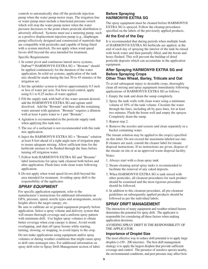controls to automatically shut off the pesticide injection pump when the water pump motor stops. The irrigation line or water pump must include a functional pressure switch which will stop the water pump motor when the water pressure decreases to the point where pesticide distribution is adversely affected. Systems must use a metering pump, such as a positive displacement injection pump (e.g., diaphragm pump) effectively designed and constructed of materials that are compatible with pesticides and capable of being fitted with a system interlock. Do not apply when wind speed favors drift beyond the area intended for treatment.

#### Specific Requirements

- 1. In center pivot and continuous lateral move systems, DuPont™ HARMONY® EXTRA SG + "Bronate" should be applied continuously for the duration of the water application. In solid set systems, application of the tank mix should be made during the last 30 to 45 minutes of the irrigation set.
- 2. Set the sprinkler system to deliver approximately 0.5 inch or less of water per acre. For best weed control, apply using 0.1 to 0.25 inches of water applied.
- 3. Fill the supply tank with half of the water amount desired, add the HARMONY® EXTRA SG and agitate until dissolved. Add the "Bronate" and then add the remaining water amount with agitation. "Bronate" requires a dilution with at least 4 parts water to 1 part "Bronate".
- 4. Agitation is recommended in the pesticide supply tank when applying this tank mix.
- 5. The use of a surfactant is not recommended with this tank mix application.
- 6. Inject the HARMONY® EXTRA SG + "Bronate" solution at least 8 feet ahead of a right angle turn of irrigation pipe to insure adequate mixing. Allow sufficient time for the herbicide mixture to be flushed through the lines before turning off irrigation water.
- 7. Follow both HARMONY® EXTRA SG and "Bronate" label instructions for spray tank cleanout both before and after application. Flush lines with clean water following application.
- 8. Do not apply when wind speed favors drift beyond the area intended for treatment. Avoiding spray drift is the responsibility of the applicator.

#### **SPRAY EQUIPMENT**

For specific application equipment, refer to the manufacturer's instructions for additional information on GPA, pressure, speed, nozzle types and arrangements, nozzle heights above the target canopy, etc.

Be sure to calibrate air or ground equipment properly before application. Select a spray volume and delivery system that will ensure thorough coverage and a uniform spray pattern with minimum drift. Use higher spray volumes to obtain better coverage when crop canopy is dense. Avoid swath overlapping, and shut off spray booms while starting, turning, slowing, or stopping, to avoid injury to the crop.

Do not make applications using equipment and/or spray volumes or during weather conditions that might cause spray to drift onto nontarget sites. For additional information on spray drift refer to Spray Drift Management section of label.

#### **Before Spraying HARMONY® EXTRA SG**

The spray equipment must be cleaned before HARMONY® EXTRA SG is sprayed. Follow the cleanup procedures specified on the labels of the previously applied products.

#### **At the End of the Day**

It is recommended that during periods when multiple loads of HARMONY® EXTRA SG herbicide are applied, at the end of each day of spraying the interior of the tank be rinsed with fresh water and then partially filled, and the boom and hoses flushed. This will prevent the buildup of dried pesticide deposits which can accumulate in the application equipment.

#### **After Spraying HARMONY® EXTRA SG and Before Spraying Crops Other Than Wheat, Barley, Triticale and Oat**

To avoid subsequent injury to desirable crops, thoroughly clean all mixing and spray equipment immediately following applications of HARMONY® EXTRA SG as follows:

- 1. Empty the tank and drain the sump completely.
- 2. Spray the tank walls with clean water using a minimum volume of 10% of the tank volume. Circulate the water through the lines, including all by-pass lines, for at least two minutes. Flush the boom well and empty the sprayer. Completely drain the sump.
- 3. Repeat step 2.
- 4. Remove the nozzles and screens and clean separately in a bucket containing water.

The rinsate solution may be applied to the crop(s) specified on this label. Do not exceed the maximum-labeled use rate. If cleaners are used, consult the cleaner label for rinsate disposal instructions. If no instructions are given, dispose of the rinsate on site or at an approved waste disposal facility. Notes:

- 1. Always start with a clean spray tank.
- 2. Steam-cleaning aerial spray tanks is recommended to facilitate the removal of any caked deposits.
- 3. When HARMONY® EXTRA SG is tank mixed with other pesticides, all cleanout procedures for each product should be examined and the most rigorous procedure should be followed.
- 4. In addition to this cleanout procedure, all pre-cleanout guidelines on subsequently applied products should be followed as per the individual labels.

#### **SPRAY DRIFT MANAGEMENT**

The interaction of many equipment and weather-related factors determines the potential for spray drift. The applicator is responsible for considering all these factors when making application decisions.

AVOIDING SPRAY DRIFT IS THE RESPONSIBILITY OF THE APPLICATOR.

#### **Importance of Droplet Size**

The most effective way to reduce drift potential is to apply large droplets (>150 - 200 microns). The best drift management strategy is to apply the largest droplets that provide sufficient coverage and control. The presence of sensitive species nearby, the environmental conditions, and pest pressure may affect how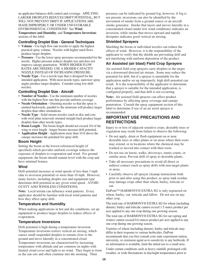an applicator balances drift control and coverage. APPLYING LARGER DROPLETS REDUCES DRIFT POTENTIAL, BUT WILL NOT PREVENT DRIFT IF APPLICATIONS ARE MADE IMPROPERLY OR UNDER UNFAVORABLE ENVIRONMENTAL CONDITIONS! See **Wind**, **Temperature and Humidity**, and **Temperature Inversions** sections of this label.

#### **Controlling Droplet Size - General Techniques**

- **Volume** Use high flow rate nozzles to apply the highest practical spray volume. Nozzles with higher rated flows produce larger droplets.
- **Pressure** Use the lower spray pressures recommended for the nozzle. Higher pressure reduces droplet size and does not improve canopy penetration. WHEN HIGHER FLOW RATES ARE NEEDED, USE A HIGHER-CAPACITY NOZZLE INSTEAD OF INCREASING PRESSURE.
- **Nozzle Type** Use a nozzle type that is designed for the intended application. With most nozzle types, narrower spray angles produce larger droplets. Consider using low-drift nozzles.

#### **Controlling Droplet Size - Aircraft**

- **Number of Nozzles**  Use the minimum number of nozzles with the highest flow rate that provide uniform coverage.
- **Nozzle Orientation** Orienting nozzles so that the spray is emitted backwards, parallel to the airstream will produce larger droplets than other orientations.
- **Nozzle Type** Solid stream nozzles (such as disc and core with swirl plate removed) oriented straight back produce larger droplets than other nozzle types.
- **Boom Length** The boom length should not exceed 3/4 of the wing or rotor length - longer booms increase drift potential.
- **Application Height** Application more than 10 ft above the canopy increases the potential for spray drift.

#### **Boom Height**

Setting the boom at the lowest referenced height (if specified) which provides uniform coverage reduces the exposure of droplets to evaporation and wind. For ground equipment, the boom should remain level with the crop and have minimal bounce.

#### **Wind**

Drift potential increases at wind speeds of less than 3 mph (due to inversion potential) or more than 10 mph. However, many factors, including droplet size and equipment type determine drift potential at any given wind speed. AVOID GUSTY AND WINDLESS CONDITIONS.

**Note:** Local terrain can influence wind patterns. Every applicator should be familiar with local wind patterns and how they affect spray drift.

#### **Temperature and Humidity**

When making applications in hot and dry conditions, set up equipment to produce larger droplets to reduce effects of evaporation.

#### **Temperature Inversions**

Drift potential is high during a temperature inversion. Temperature inversions restrict vertical air mixing, which causes small suspended droplets to remain close to the ground and move laterally in a concentrated cloud. Temperature inversions are characterized by increasing temperature with altitude and are common on nights with limited cloud cover and light to no wind. They begin to form as the sun sets and often continue into the morning. Their

presence can be indicated by ground fog; however, if fog is not present, inversions can also be identified by the movement of smoke from a ground source or an aircraft smoke generator. Smoke that layers and moves laterally in a concentrated cloud (under low wind conditions) indicates an inversion, while smoke that moves upward and rapidly dissipates indicates good vertical air mixing.

#### **Shielded Sprayers**

Shielding the boom or individual nozzles can reduce the effects of wind. However, it is the responsibility of the applicator to verify that the shields are preventing drift and not interfering with uniform deposition of the product.

#### **Air Assisted (air blast) Field Crop Sprayers**

Air assisted field crop sprayers carry droplets to the target via a downward directed air stream. Some may reduce the potential for drift, but if a sprayer is unsuitable for the application and/or set up improperly, high drift potential can result. It is the responsibility of the applicator to determine that a sprayer is suitable for the intended application, is configured properly, and that drift is not occurring.

**Note:** Air assisted field sprayers can affect product performance by affecting spray coverage and canopy penetration. Consult the spray equipment section of this label to determine if use of an air assist sprayer is recommended.

#### **IMPORTANT USE PRECAUTIONS AND RESTRICTIONS**

Injury to or loss of adjacent sensitive crops, desirable trees or vegetation may result from failure to observe the following:

- Do not apply, drain or flush equipment on or near desirable trees or other plants or on areas where their roots may extend, or in locations where the chemical may be washed or moved into contact with their roots.
- Do not use on lawns, walks, driveways, tennis courts, or similar areas. Prevent drift of spray to desirable plants.
- Take all necessary precautions to avoid all direct or indirect contact (such as spray drift) with non-target plants or areas.
- Carefully observe all sprayer cleanup instructions both prior to and after using this product, as spray tank residue may damage crops other than wheat, barley, triticale or oat.

DuPont™ HARMONY® EXTRA SG is only registered on wheat, barley, oat, triticale and fallow. Do not use on any other crop.

The total rate of HARMONY® EXTRA SG for wheat (including durum), barley and triticale cannot exceed 1.5 ounce product per acre applied to any one crop during one growing season.

The total rate of HARMONY® EXTRA SG for oat (spring and winter) cannot exceed 0.6 ounces product per acre applied to any one crop during one growing season.

Varieties of wheat (including durum), barley and triticale may differ in their response to various herbicides. DuPont recommends that you first consult your state experiment station, university, or extension agent as to sensitivity to any herbicide. If no information is available, limit the initial use to a small area.

Under certain conditions such as heavy rainfall, prolonged cold weather, or wide fluctuations in day/night temperatures prior to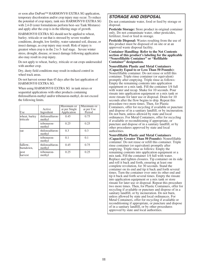or soon after DuPont™ HARMONY® EXTRA SG application, temporary discoloration and/or crop injury may occur. To reduce the potential of crop injury, tank mix HARMONY® EXTRA SG with 2,4-D (ester formulations perform best–see Tank Mixtures) and apply after the crop is in the tillering stage of growth.

HARMONY® EXTRA SG should not be applied to wheat, barley. triticale or oat that is stressed by severe weather conditions, drought, low fertility, water-saturated soil, disease, or insect damage, as crop injury may result. Risk of injury is greatest when crop is in the 2 to 5- leaf stage. Severe winter stress, drought, disease, or insect damage following application also may result in crop injury.

Do not apply to wheat, barley, triticale or oat crops underseeded with another crop.

Dry, dusty field conditions may result in reduced control in wheel track areas.

Do not harvest sooner than 45 days after the last application of HARMONY® EXTRA SG.

When using HARMONY® EXTRA SG in tank mixes or sequential applications with other products containing thifensulfuron-methyl and/or tribenuron-methyl, do not exceed the following limits.

| Use                        | Active<br>Ingredient      | Maximum oz<br>ai per Single<br>Application | Maximum oz<br>ai per Use<br>Period |
|----------------------------|---------------------------|--------------------------------------------|------------------------------------|
| wheat, barley<br>triticale | thifensulfuron-<br>methyl | 0.45                                       | 0.75                               |
|                            | tribenuron-<br>methyl     | 0.25                                       | 0.25                               |
| loat                       | thifensulfuron-<br>methyl | 0.3                                        | 0.3                                |
|                            | tribenuron-<br>methyl     | 0.1                                        | 0.1                                |
| fallow,<br>burndown,       | thifensulfuron-<br>methyl | 0.45                                       | 0.75                               |
| post<br>harvest            | tribenuron-<br>methyl     | 0.25                                       | 0.25                               |

## **STORAGE AND DISPOSAL**

Do not contaminate water, food or feed by storage or disposal.

**Pesticide Storage:** Store product in original container only. Do not contaminate water, other pesticides, fertilizer, food or feed in storage.

**Pesticide Disposal:** Wastes resulting from the use of this product must be disposed of on site or at an approved waste disposal facility.

**Container Handling: Refer to the Net Contents section of this product's labeling for the applicable "Nonrefillable Container" or "Refillable Container" designation.**

**Nonrefillable Plastic and Metal Containers (Capacity Equal to or Less Than 50 Pounds):** Nonrefillable container. Do not reuse or refill this container. Triple rinse container (or equivalent) promptly after emptying. Triple rinse as follows: Empty the remaining contents into application equipment or a mix tank. Fill the container 1/4 full with water and recap. Shake for 10 seconds. Pour rinsate into application equipment or a mix tank or store rinsate for later use or disposal. Drain for 10 seconds after the flow begins to drip. Repeat this procedure two more times. Then, for Plastic Containers, offer for recycling if available or puncture and dispose of in a sanitary landfill, or by incineration. Do not burn, unless allowed by state and local ordinances. For Metal Containers, offer for recycling if available or reconditioning if appropriate, or puncture and dispose of in a sanitary landfill, or by other procedures approved by state and local authorities.

**Nonrefillable Plastic and Metal Containers (Capacity Greater Than 50 Pounds):** Nonrefillable container. Do not reuse or refill this container. Triple rinse container (or equivalent) promptly after emptying. Triple rinse as follows: Empty the remaining contents into application equipment or a mix tank. Fill the container 1/4 full with water. Replace and tighten closures. Tip container on its side and roll it back and forth, ensuring at least one complete revolution, for 30 seconds. Stand the container on its end and tip it back and forth several times. Turn the container over onto its other end and tip it back and forth several times. Empty the rinsate into application equipment or a mix tank or store rinsate for later use or disposal. Repeat this procedure two more times. Then, for Plastic Containers, offer for recycling if available or puncture and dispose of in a sanitary landfill, or by incineration. Do not burn, unless allowed by state and local ordinances. For Metal Containers, offer for recycling if available or reconditioning if appropriate, or puncture and dispose of in a sanitary landfill, or by other procedures approved by state and local authorities.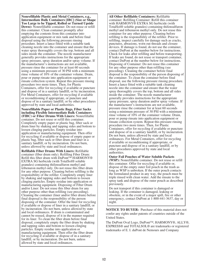**Nonrefillable Plastic and Metal Containers, e.g., Intermediate Bulk Containers [IBC] (Size or Shape Too Large to be Tipped, Rolled or Turned Upside Down):** Nonrefillable container. Do not reuse or refill this container. Clean container promptly after emptying the contents from this container into application equipment or mix tank and before final disposal using the following pressure rinsing procedure. Insert a lance fitted with a suitable tank cleaning nozzle into the container and ensure that the water spray thoroughly covers the top, bottom and all sides inside the container. The nozzle manufacturer generally provides instructions for the appropriate spray pressure, spray duration and/or spray volume. If the manufacturer's instructions are not available, pressure rinse the container for at least 60 seconds using a minimum pressure of 30 PSI with a minimum rinse volume of 10% of the container volume. Drain, pour or pump rinsate into application equipment or rinsate collection system. Repeat this pressure rinsing procedure two more times. Then, for Plastic Containers, offer for recycling if available or puncture and dispose of in a sanitary landfill, or by incineration. For Metal Containers, offer for recycling if available or reconditioning if appropriate, or puncture and dispose of in a sanitary landfill, or by other procedures approved by state and local authorities.

**Nonrefillable Paper or Plastic Bags, Fiber Sacks including Flexible Intermediate Bulk Containers (FIBC) or Fiber Drums With Liners:** Nonrefillable container. Do not reuse or refill this container. Completely empty paper or plastic bag, fiber sack or drum liner by shaking and tapping sides and bottom to loosen clinging particles. Empty residue into application or manufacturing equipment. Then offer for recycling if available or dispose of empty paper or plastic bag, fiber sack or fiber drum and liner in a sanitary landfill, or by incineration. Do not burn, unless allowed by state and local ordinances.

**Refillable Fiber Drums With Liners:** Refillable container (fiber drum only). Refilling Fiber Drum: Refill this fiber drum with DuPont<sup>™</sup> HARMONY<sup>®</sup> EXTRA SG herbicide (with TotalSol® soluble granules) containing thifensulfuron methyl and tribenuron methyl only. Do not reuse this fiber drum for any other purpose. Cleaning before refilling is the responsibility of the refiller. Completely empty liner by shaking and tapping sides and bottom to loosen clinging particles. Empty residue into application or manufacturing equipment. Disposing of Fiber Drum and/or Liner: Do not reuse this fiber drum for any other purpose other than refilling (see preceding). Cleaning the container (liner and/or fiber drum) before final disposal is the responsibility of the person disposing of the container. Offer the liner for recycling if available or dispose of liner in a sanitary landfill, or by incineration. Do not burn, unless allowed by state and local ordinances. If drum is contaminated and cannot be reused, dispose of it in the manner required for its liner. To clean the fiber drum before final disposal, completely empty the fiber drum by shaking and tapping sides and bottom to loosen clinging particles. Empty residue into application or manufacturing equipment. Then offer the fiber drum for recycling if available or dispose of in a sanitary landfill, or by incineration. Do not burn, unless allowed by state and local ordinances.

**All Other Refillable Containers:** Refillable container. Refilling Container: Refill this container with HARMONY® EXTRA SG herbicide (with TotalSol® soluble granules) containing thifensulfuron methyl and tribenuron methyl only. Do not reuse this container for any other purpose. Cleaning before refilling is the responsibility of the refiller. Prior to refilling, inspect carefully for damage such as cracks, punctures, abrasions, worn out threads and closure devices. If damage is found, do not use the container, contact DuPont at the number below for instructions. Check for leaks after refilling and before transporting. If leaks are found, do not reuse or transport container, contact DuPont at the number below for instructions. Disposing of Container: Do not reuse this container for any other purpose other than refilling (see preceding). Cleaning the container before final disposal is the responsibility of the person disposing of the container. To clean the container before final disposal, use the following pressure rinsing procedure. Insert a lance fitted with a suitable tank cleaning nozzle into the container and ensure that the water spray thoroughly covers the top, bottom and all sides inside the container. The nozzle manufacturer generally provides instructions for the appropriate spray pressure, spray duration and/or spray volume. If the manufacturer's instructions are not available, pressure rinse the container for at least 60 seconds using a minimum pressure of 30 PSI with a minimum rinse volume of 10% of the container volume. Drain, pour or pump rinsate into application equipment or rinsate collection system. Repeat this pressure rinsing procedure two more times. Then, for Plastic Containers, offer for recycling if available or puncture and dispose of in a sanitary landfill, or by incineration. Do not burn, unless allowed by state and local ordinances. For Metal Containers, offer for recycling if available or reconditioning if appropriate, or puncture and dispose of in a sanitary landfill, or by other procedures approved by state and local authorities.

**Outer Foil Pouches of Water Soluble Packets (WSP):** Nonrefillable container. Do not reuse or refill this container. Offer for recycling if available or, dispose of the empty outer foil pouch in the trash as long as WSP is unbroken. If the outer pouch contacts the formulated product in any way, the pouch must be triple rinsed with clean water. Add the rinsate to the spray tank and dispose of the outer pouch as described previously.

Do not transport if this container is damaged or leaking. If the container is damaged, leaking or obsolete, or in the event of a major spill, fire or other emergency, contact DuPont at 1-800-441-3637, day or night.

**NOTICE TO BUYER:** Purchase of this material does not confer any rights under patents of countries outside of the United States.

The DuPont Oval Logo, DuPont™, HARMONY®, ALLY®, EXPRESS® and TOTALSOL® are trademarks or registered trademarks of E. I. duPont de Nemours and Company